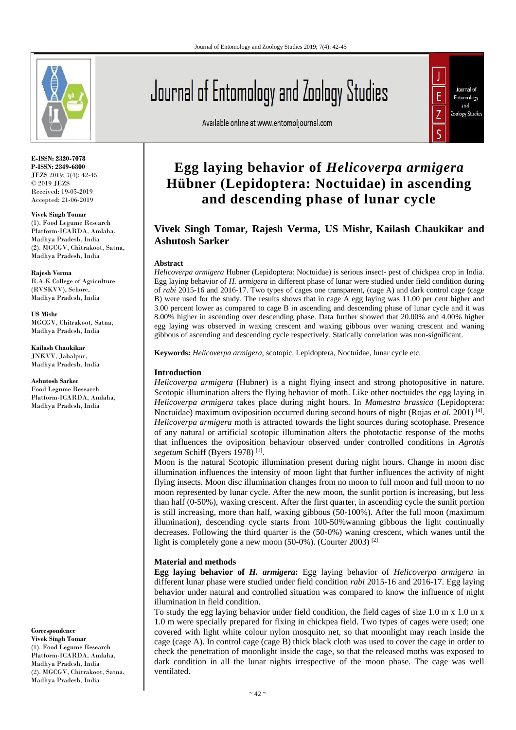

**E-ISSN: 2320-7078 P-ISSN: 2349-6800** JEZS 2019; 7(4): 42-45 © 2019 JEZS Received: 19-05-2019 Accepted: 21-06-2019

**Vivek Singh Tomar** (1). Food Legume Research Platform-ICARDA, Amlaha, Madhya Pradesh, India (2). MGCGV, Chitrakoot, Satna, Madhya Pradesh, India

**Rajesh Verma** R.A.K College of Agriculture (RVSKVV), Sehore, Madhya Pradesh, India

**US Mishr** MGCGV, Chitrakoot, Satna, Madhya Pradesh, India

**Kailash Chaukikar** JNKVV, Jabalpur, Madhya Pradesh, India

**Ashutosh Sarker** Food Legume Research Platform-ICARDA, Amlaha, Madhya Pradesh, India

**Correspondence Vivek Singh Tomar** (1). Food Legume Research Platform-ICARDA, Amlaha, Madhya Pradesh, India (2). MGCGV, Chitrakoot, Satna, Madhya Pradesh, India

# Journal of Entomology and Zoology Studies

Available online at www.entomoljournal.com



# **Egg laying behavior of** *Helicoverpa armigera*  **Hübner (Lepidoptera: Noctuidae) in ascending and descending phase of lunar cycle**

# **Vivek Singh Tomar, Rajesh Verma, US Mishr, Kailash Chaukikar and Ashutosh Sarker**

#### **Abstract**

*Helicoverpa armigera* Hubner (Lepidoptera: Noctuidae) is serious insect- pest of chickpea crop in India. Egg laying behavior of *H. armigera* in different phase of lunar were studied under field condition during of *rabi* 2015-16 and 2016-17. Two types of cages one transparent, (cage A) and dark control cage (cage B) were used for the study. The results shows that in cage A egg laying was 11.00 per cent higher and 3.00 percent lower as compared to cage B in ascending and descending phase of lunar cycle and it was 8.00% higher in ascending over descending phase. Data further showed that 20.00% and 4.00% higher egg laying was observed in waxing crescent and waxing gibbous over waning crescent and waning gibbous of ascending and descending cycle respectively. Statically correlation was non-significant.

**Keywords:** *Helicoverpa armigera,* scotopic, Lepidoptera, Noctuidae, lunar cycle etc.

## **Introduction**

*Helicoverpa armigera* (Hubner) is a night flying insect and strong photopositive in nature. Scotopic illumination alters the flying behavior of moth. Like other noctuides the egg laying in *Helicoverpa armigera* takes place during night hours. In *Mamestra brassica* (Lepidoptera: Noctuidae) maximum oviposition occurred during second hours of night (Rojas *et al.* 2001)<sup>[4]</sup>. *Helicoverpa armigera* moth is attracted towards the light sources during scotophase. Presence of any natural or artificial scotopic illumination alters the phototactic response of the moths that influences the oviposition behaviour observed under controlled conditions in *Agrotis segetum* Schiff (Byers 1978) [1] .

Moon is the natural Scotopic illumination present during night hours. Change in moon disc illumination influences the intensity of moon light that further influences the activity of night flying insects. Moon disc illumination changes from no moon to full moon and full moon to no moon represented by lunar cycle. After the new moon, the sunlit portion is increasing, but less than half (0-50%), waxing crescent. After the first quarter, in ascending cycle the sunlit portion is still increasing, more than half, waxing gibbous (50-100%). After the full moon (maximum illumination), descending cycle starts from 100-50%wanning gibbous the light continually decreases. Following the third quarter is the (50-0%) waning crescent, which wanes until the light is completely gone a new moon (50-0%). (Courter 2003)<sup>[2]</sup>

#### **Material and methods**

**Egg laying behavior of** *H. armigera***:** Egg laying behavior of *Helicoverpa armigera* in different lunar phase were studied under field condition *rabi* 2015-16 and 2016-17. Egg laying behavior under natural and controlled situation was compared to know the influence of night illumination in field condition.

To study the egg laying behavior under field condition, the field cages of size 1.0 m x 1.0 m x 1.0 m were specially prepared for fixing in chickpea field. Two types of cages were used; one covered with light white colour nylon mosquito net, so that moonlight may reach inside the cage (cage A). In control cage (cage B) thick black cloth was used to cover the cage in order to check the penetration of moonlight inside the cage, so that the released moths was exposed to dark condition in all the lunar nights irrespective of the moon phase. The cage was well ventilated.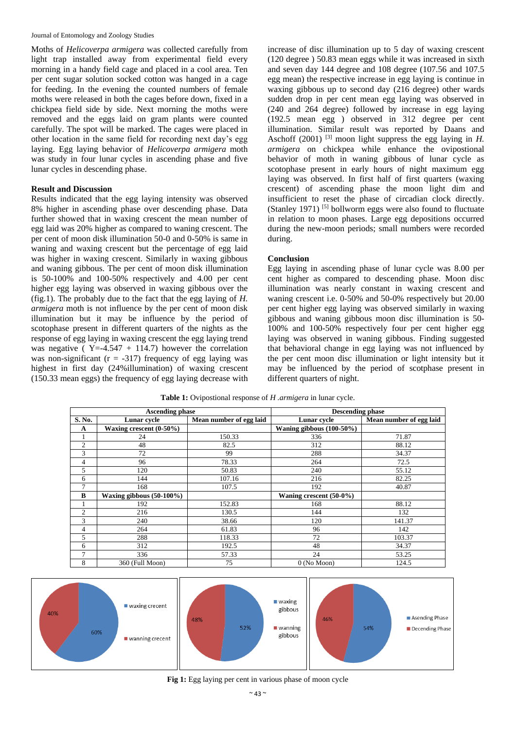#### Journal of Entomology and Zoology Studies

Moths of *Helicoverpa armigera* was collected carefully from light trap installed away from experimental field every morning in a handy field cage and placed in a cool area. Ten per cent sugar solution socked cotton was hanged in a cage for feeding. In the evening the counted numbers of female moths were released in both the cages before down, fixed in a chickpea field side by side. Next morning the moths were removed and the eggs laid on gram plants were counted carefully. The spot will be marked. The cages were placed in other location in the same field for recording next day's egg laying. Egg laying behavior of *Helicoverpa armigera* moth was study in four lunar cycles in ascending phase and five lunar cycles in descending phase.

## **Result and Discussion**

Results indicated that the egg laying intensity was observed 8% higher in ascending phase over descending phase. Data further showed that in waxing crescent the mean number of egg laid was 20% higher as compared to waning crescent. The per cent of moon disk illumination 50-0 and 0-50% is same in waning and waxing crescent but the percentage of egg laid was higher in waxing crescent. Similarly in waxing gibbous and waning gibbous. The per cent of moon disk illumination is 50-100% and 100-50% respectively and 4.00 per cent higher egg laying was observed in waxing gibbous over the (fig.1). The probably due to the fact that the egg laying of *H. armigera* moth is not influence by the per cent of moon disk illumination but it may be influence by the period of scotophase present in different quarters of the nights as the response of egg laying in waxing crescent the egg laying trend was negative ( $Y = -4.547 + 114.7$ ) however the correlation was non-significant ( $r = -317$ ) frequency of egg laying was highest in first day (24%illumination) of waxing crescent (150.33 mean eggs) the frequency of egg laying decrease with increase of disc illumination up to 5 day of waxing crescent (120 degree ) 50.83 mean eggs while it was increased in sixth and seven day 144 degree and 108 degree (107.56 and 107.5 egg mean) the respective increase in egg laying is continue in waxing gibbous up to second day (216 degree) other wards sudden drop in per cent mean egg laying was observed in (240 and 264 degree) followed by increase in egg laying (192.5 mean egg ) observed in 312 degree per cent illumination. Similar result was reported by Daans and Aschoff  $(2001)$ <sup>[3]</sup> moon light suppress the egg laying in *H*. *armigera* on chickpea while enhance the ovipostional behavior of moth in waning gibbous of lunar cycle as scotophase present in early hours of night maximum egg laying was observed. In first half of first quarters (waxing crescent) of ascending phase the moon light dim and insufficient to reset the phase of circadian clock directly. (Stanley 1971)  $[5]$  bollworm eggs were also found to fluctuate in relation to moon phases. Large egg depositions occurred during the new-moon periods; small numbers were recorded during.

#### **Conclusion**

Egg laying in ascending phase of lunar cycle was 8.00 per cent higher as compared to descending phase. Moon disc illumination was nearly constant in waxing crescent and waning crescent i.e. 0-50% and 50-0% respectively but 20.00 per cent higher egg laying was observed similarly in waxing gibbous and waning gibbous moon disc illumination is 50- 100% and 100-50% respectively four per cent higher egg laying was observed in waning gibbous. Finding suggested that behavioral change in egg laying was not influenced by the per cent moon disc illumination or light intensity but it may be influenced by the period of scotphase present in different quarters of night.

| <b>Ascending phase</b> |                            |                         | <b>Descending phase</b>     |                         |
|------------------------|----------------------------|-------------------------|-----------------------------|-------------------------|
| S. No.                 | Lunar cycle                | Mean number of egg laid | Lunar cycle                 | Mean number of egg laid |
| A                      | Waxing crescent $(0-50\%)$ |                         | Waning gibbous $(100-50\%)$ |                         |
| л.                     | 24                         | 150.33                  | 336                         | 71.87                   |
| 2                      | 48                         | 82.5                    | 312                         | 88.12                   |
| 3                      | 72                         | 99                      | 288                         | 34.37                   |
| 4                      | 96                         | 78.33                   | 264                         | 72.5                    |
| 5                      | 120                        | 50.83                   | 240                         | 55.12                   |
| 6                      | 144                        | 107.16                  | 216                         | 82.25                   |
|                        | 168                        | 107.5                   | 192                         | 40.87                   |
| B                      | Waxing gibbous (50-100%)   |                         | Waning crescent $(50-0\%)$  |                         |
|                        | 192                        | 152.83                  | 168                         | 88.12                   |
| 2                      | 216                        | 130.5                   | 144                         | 132                     |
| 3                      | 240                        | 38.66                   | 120                         | 141.37                  |
| 4                      | 264                        | 61.83                   | 96                          | 142                     |
| 5                      | 288                        | 118.33                  | 72                          | 103.37                  |
| 6                      | 312                        | 192.5                   | 48                          | 34.37                   |
| 7                      | 336                        | 57.33                   | 24                          | 53.25                   |
| 8                      | 360 (Full Moon)            | 75                      | $0$ (No Moon)               | 124.5                   |

**Table 1:** Ovipostional response of *H .armigera* in lunar cycle.



#### **Fig 1:** Egg laying per cent in various phase of moon cycle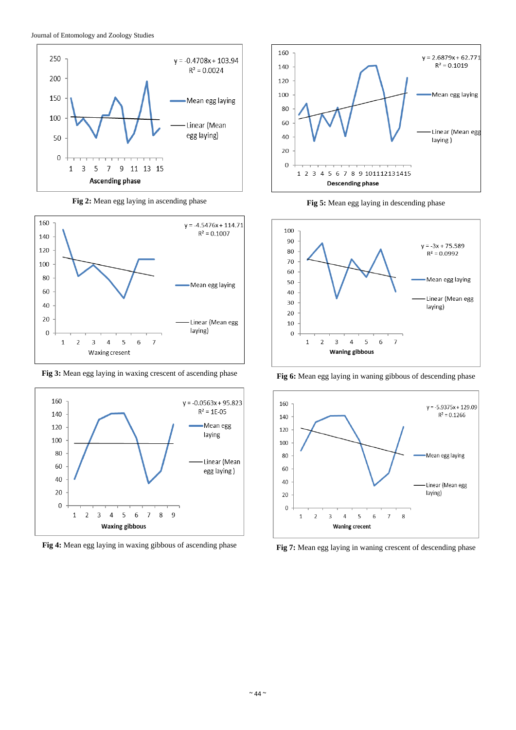

**Fig 2:** Mean egg laying in ascending phase



**Fig 3:** Mean egg laying in waxing crescent of ascending phase



**Fig 4:** Mean egg laying in waxing gibbous of ascending phase



**Fig 5:** Mean egg laying in descending phase



**Fig 6:** Mean egg laying in waning gibbous of descending phase



**Fig 7:** Mean egg laying in waning crescent of descending phase